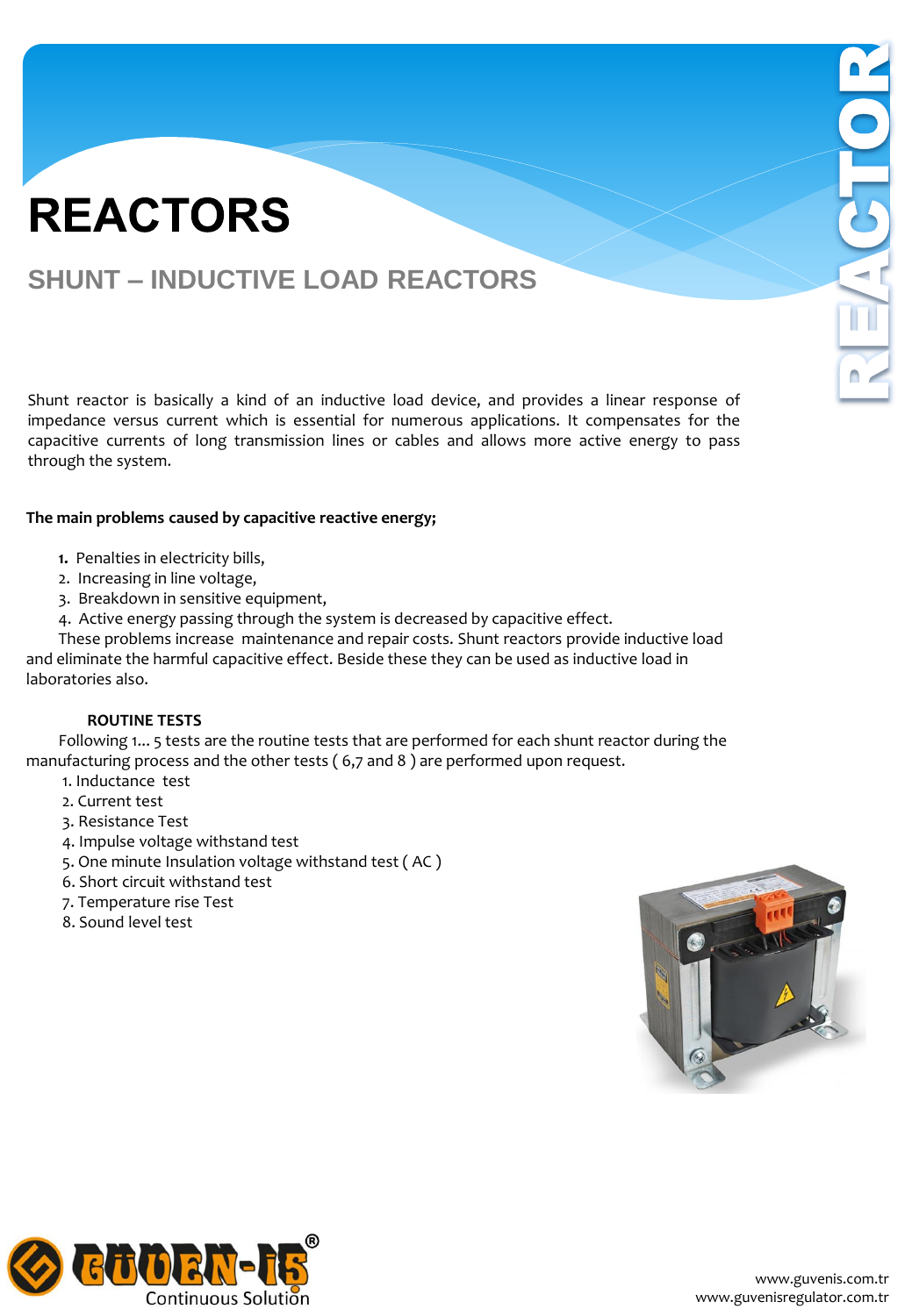### **SHUNT – INDUCTIVE LOAD REACTORS**

Shunt reactor is basically a kind of an inductive load device, and provides a linear response of impedance versus current which is essential for numerous applications. It compensates for the capacitive currents of long transmission lines or cables and allows more active energy to pass through the system.

#### **The main problems caused by capacitive reactive energy;**

- **1.** Penalties in electricity bills,
- 2. Increasing in line voltage,
- 3. Breakdown in sensitive equipment,
- 4. Active energy passing through the system is decreased by capacitive effect.

 These problems increase maintenance and repair costs. Shunt reactors provide inductive load and eliminate the harmful capacitive effect. Beside these they can be used as inductive load in laboratories also.

#### **ROUTINE TESTS**

 Following 1... 5 tests are the routine tests that are performed for each shunt reactor during the manufacturing process and the other tests ( 6,7 and 8 ) are performed upon request.

- 1. Inductance test
- 2. Current test
- 3. Resistance Test
- 4. Impulse voltage withstand test
- 5. One minute Insulation voltage withstand test ( AC )
- 6. Short circuit withstand test
- 7. Temperature rise Test
- 8. Sound level test



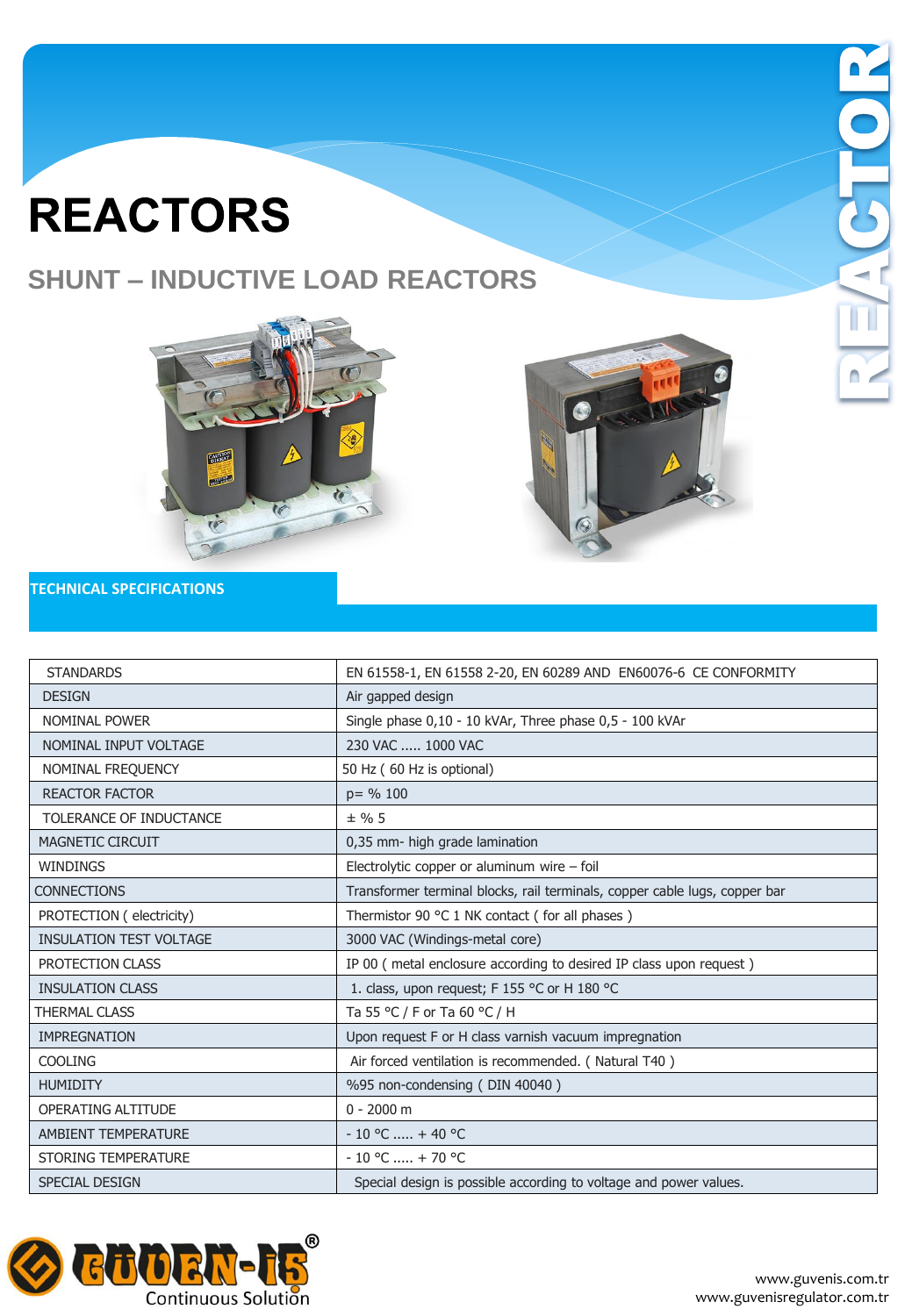## **SHUNT – INDUCTIVE LOAD REACTORS**





 $\blacksquare$ 

#### **TECHNICAL SPECIFICATIONS**

| <b>STANDARDS</b>               | EN 61558-1, EN 61558 2-20, EN 60289 AND EN60076-6 CE CONFORMITY            |
|--------------------------------|----------------------------------------------------------------------------|
| <b>DESIGN</b>                  | Air gapped design                                                          |
| NOMINAL POWER                  | Single phase 0,10 - 10 kVAr, Three phase 0,5 - 100 kVAr                    |
| NOMINAL INPUT VOLTAGE          | 230 VAC  1000 VAC                                                          |
| NOMINAL FREQUENCY              | 50 Hz (60 Hz is optional)                                                  |
| <b>REACTOR FACTOR</b>          | $p = \% 100$                                                               |
| TOLERANCE OF INDUCTANCE        | $±$ % 5                                                                    |
| <b>MAGNETIC CIRCUIT</b>        | 0,35 mm- high grade lamination                                             |
| <b>WINDINGS</b>                | Electrolytic copper or aluminum wire - foil                                |
| <b>CONNECTIONS</b>             | Transformer terminal blocks, rail terminals, copper cable lugs, copper bar |
| PROTECTION (electricity)       | Thermistor 90 °C 1 NK contact (for all phases)                             |
| <b>INSULATION TEST VOLTAGE</b> | 3000 VAC (Windings-metal core)                                             |
| PROTECTION CLASS               | IP 00 (metal enclosure according to desired IP class upon request)         |
| <b>INSULATION CLASS</b>        | 1. class, upon request; F 155 °C or H 180 °C                               |
| <b>THERMAL CLASS</b>           | Ta 55 °C / F or Ta 60 °C / H                                               |
| <b>IMPREGNATION</b>            | Upon request F or H class varnish vacuum impregnation                      |
| <b>COOLING</b>                 | Air forced ventilation is recommended. (Natural T40)                       |
| <b>HUMIDITY</b>                | %95 non-condensing (DIN 40040)                                             |
| OPERATING ALTITUDE             | $0 - 2000$ m                                                               |
| <b>AMBIENT TEMPERATURE</b>     | $-10$ °C  + 40 °C                                                          |
| <b>STORING TEMPERATURE</b>     | $-10$ °C  + 70 °C                                                          |
| <b>SPECIAL DESIGN</b>          | Special design is possible according to voltage and power values.          |

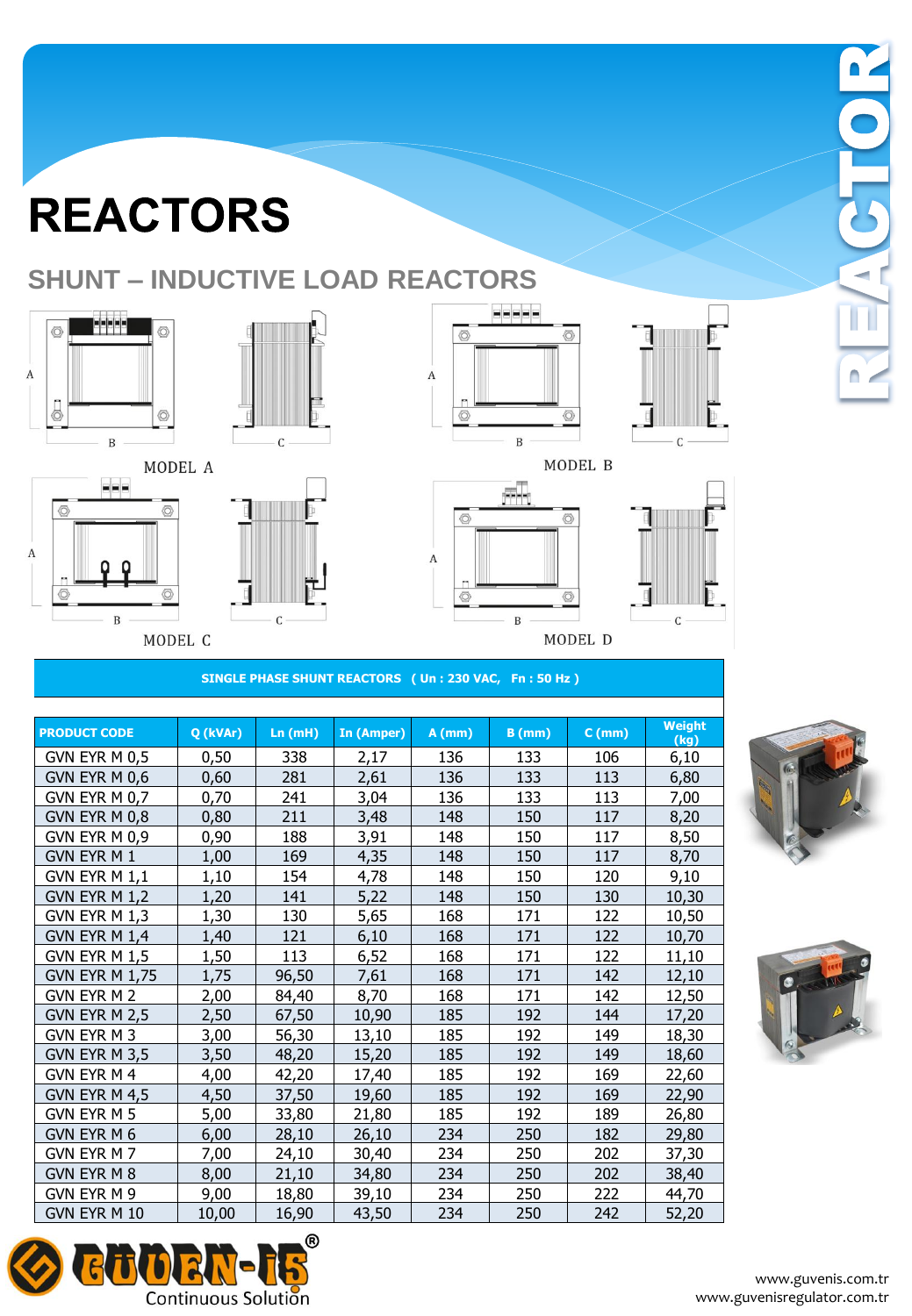MODEL A

MODEL C

## **SHUNT – INDUCTIVE LOAD REACTORS**



 $\vert$ = $\vert$ =

 $\, {\bf B}$ 

 $\circ$ 

◎

 $\mathbf A$ 



 $\mathsf{C}$ 

**EEEEE**  $\circledcirc$ O  $\boldsymbol{A}$ n  $\circledcirc$  $\circledcirc$  $\, {\bf B}$ 

as.

 $\, {\bf B}$ 

 $\overline{\circ}$ 

 $\overline{A}$ 



MODEL B



#### **SINGLE PHASE SHUNT REACTORS ( Un : 230 VAC, Fn : 50 Hz )**

|                       |          |        |            |          |          |          | Weight |
|-----------------------|----------|--------|------------|----------|----------|----------|--------|
| <b>PRODUCT CODE</b>   | Q (kVAr) | Ln(mH) | In (Amper) | $A$ (mm) | $B$ (mm) | $C$ (mm) | (kg)   |
| GVN EYR M 0,5         | 0,50     | 338    | 2,17       | 136      | 133      | 106      | 6,10   |
| GVN EYR M 0,6         | 0,60     | 281    | 2,61       | 136      | 133      | 113      | 6,80   |
| GVN EYR M 0,7         | 0,70     | 241    | 3,04       | 136      | 133      | 113      | 7,00   |
| GVN EYR M 0,8         | 0,80     | 211    | 3,48       | 148      | 150      | 117      | 8,20   |
| GVN EYR M 0,9         | 0,90     | 188    | 3,91       | 148      | 150      | 117      | 8,50   |
| <b>GVN EYR M1</b>     | 1,00     | 169    | 4,35       | 148      | 150      | 117      | 8,70   |
| GVN EYR M 1,1         | 1,10     | 154    | 4,78       | 148      | 150      | 120      | 9,10   |
| GVN EYR M 1,2         | 1,20     | 141    | 5,22       | 148      | 150      | 130      | 10,30  |
| GVN EYR M 1,3         | 1,30     | 130    | 5,65       | 168      | 171      | 122      | 10,50  |
| GVN EYR M 1,4         | 1,40     | 121    | 6,10       | 168      | 171      | 122      | 10,70  |
| GVN EYR M 1,5         | 1,50     | 113    | 6,52       | 168      | 171      | 122      | 11,10  |
| <b>GVN EYR M 1,75</b> | 1,75     | 96,50  | 7,61       | 168      | 171      | 142      | 12,10  |
| GVN EYR M 2           | 2,00     | 84,40  | 8,70       | 168      | 171      | 142      | 12,50  |
| GVN EYR M 2,5         | 2,50     | 67,50  | 10,90      | 185      | 192      | 144      | 17,20  |
| GVN EYR M 3           | 3,00     | 56,30  | 13,10      | 185      | 192      | 149      | 18,30  |
| GVN EYR M 3,5         | 3,50     | 48,20  | 15,20      | 185      | 192      | 149      | 18,60  |
| GVN EYR M 4           | 4,00     | 42,20  | 17,40      | 185      | 192      | 169      | 22,60  |
| GVN EYR M 4,5         | 4,50     | 37,50  | 19,60      | 185      | 192      | 169      | 22,90  |
| GVN EYR M 5           | 5,00     | 33,80  | 21,80      | 185      | 192      | 189      | 26,80  |
| GVN EYR M 6           | 6,00     | 28,10  | 26,10      | 234      | 250      | 182      | 29,80  |
| GVN EYR M 7           | 7,00     | 24,10  | 30,40      | 234      | 250      | 202      | 37,30  |
| GVN EYR M 8           | 8,00     | 21,10  | 34,80      | 234      | 250      | 202      | 38,40  |
| GVN EYR M 9           | 9,00     | 18,80  | 39,10      | 234      | 250      | 222      | 44,70  |
| GVN EYR M 10          | 10,00    | 16,90  | 43,50      | 234      | 250      | 242      | 52,20  |



 $\Box$